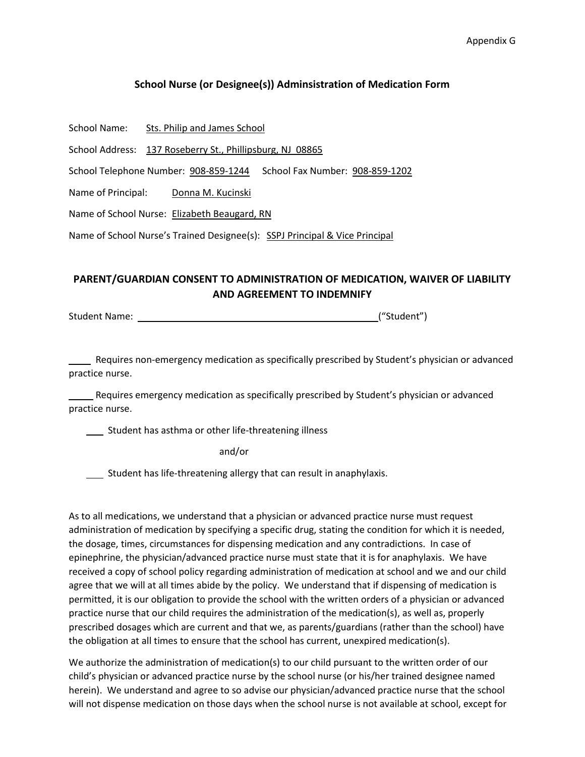## **School Nurse (or Designee(s)) Adminsistration of Medication Form**

|  | School Name: | Sts. Philip and James School |
|--|--------------|------------------------------|
|--|--------------|------------------------------|

School Address: 137 Roseberry St., Phillipsburg, NJ 08865

School Telephone Number: 908-859-1244 School Fax Number: 908-859-1202

Name of Principal: Donna M. Kucinski

Name of School Nurse: Elizabeth Beaugard, RN

Name of School Nurse's Trained Designee(s): SSPJ Principal & Vice Principal

## **PARENT/GUARDIAN CONSENT TO ADMINISTRATION OF MEDICATION, WAIVER OF LIABILITY AND AGREEMENT TO INDEMNIFY**

Student Name: ("Student")

 Requires non-emergency medication as specifically prescribed by Student's physician or advanced practice nurse.

 Requires emergency medication as specifically prescribed by Student's physician or advanced practice nurse.

**Student has asthma or other life-threatening illness** 

and/or

Student has life-threatening allergy that can result in anaphylaxis.

As to all medications, we understand that a physician or advanced practice nurse must request administration of medication by specifying a specific drug, stating the condition for which it is needed, the dosage, times, circumstances for dispensing medication and any contradictions. In case of epinephrine, the physician/advanced practice nurse must state that it is for anaphylaxis. We have received a copy of school policy regarding administration of medication at school and we and our child agree that we will at all times abide by the policy. We understand that if dispensing of medication is permitted, it is our obligation to provide the school with the written orders of a physician or advanced practice nurse that our child requires the administration of the medication(s), as well as, properly prescribed dosages which are current and that we, as parents/guardians (rather than the school) have the obligation at all times to ensure that the school has current, unexpired medication(s).

We authorize the administration of medication(s) to our child pursuant to the written order of our child's physician or advanced practice nurse by the school nurse (or his/her trained designee named herein). We understand and agree to so advise our physician/advanced practice nurse that the school will not dispense medication on those days when the school nurse is not available at school, except for